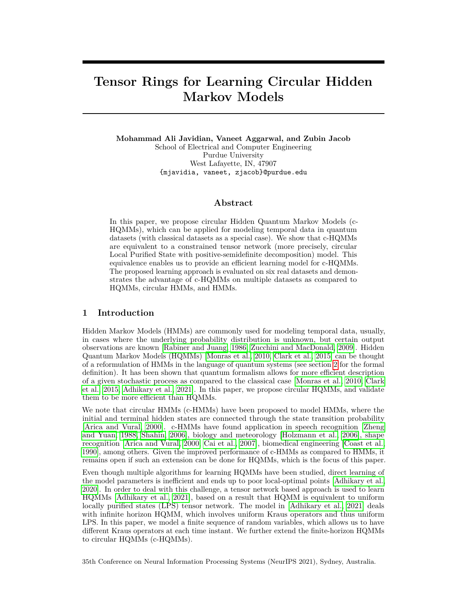# **Tensor Rings for Learning Circular Hidden Markov Models**

**Mohammad Ali Javidian, Vaneet Aggarwal, and Zubin Jacob** School of Electrical and Computer Engineering Purdue University West Lafayette, IN, 47907 {mjavidia, vaneet, zjacob}@purdue.edu

### **Abstract**

In this paper, we propose circular Hidden Quantum Markov Models (c-HQMMs), which can be applied for modeling temporal data in quantum datasets (with classical datasets as a special case). We show that c-HQMMs are equivalent to a constrained tensor network (more precisely, circular Local Purified State with positive-semidefinite decomposition) model. This equivalence enables us to provide an efficient learning model for c-HQMMs. The proposed learning approach is evaluated on six real datasets and demonstrates the advantage of c-HQMMs on multiple datasets as compared to HQMMs, circular HMMs, and HMMs.

## **1 Introduction**

Hidden Markov Models (HMMs) are commonly used for modeling temporal data, usually, in cases where the underlying probability distribution is unknown, but certain output observations are known [\[Rabiner and Juang, 1986,](#page-10-0) [Zucchini and MacDonald, 2009\]](#page-11-0). Hidden Quantum Markov Models (HQMMs) [\[Monras et al., 2010,](#page-10-1) [Clark et al., 2015\]](#page-9-0) can be thought of a reformulation of HMMs in the language of quantum systems (see section [2](#page-1-0) for the formal definition). It has been shown that quantum formalism allows for more efficient description of a given stochastic process as compared to the classical case [\[Monras et al., 2010,](#page-10-1) [Clark](#page-9-0) [et al., 2015,](#page-9-0) [Adhikary et al., 2021\]](#page-9-1). In this paper, we propose circular HQMMs, and validate them to be more efficient than HQMMs.

We note that circular HMMs (c-HMMs) have been proposed to model HMMs, where the initial and terminal hidden states are connected through the state transition probability [\[Arica and Vural, 2000\]](#page-9-2). c-HMMs have found application in speech recognition [\[Zheng](#page-11-1) [and Yuan, 1988,](#page-11-1) [Shahin, 2006\]](#page-10-2), biology and meteorology [\[Holzmann et al., 2006\]](#page-9-3), shape recognition [\[Arica and Vural, 2000,](#page-9-2) [Cai et al., 2007\]](#page-9-4), biomedical engineering [\[Coast et al.,](#page-9-5) [1990\]](#page-9-5), among others. Given the improved performance of c-HMMs as compared to HMMs, it remains open if such an extension can be done for HQMMs, which is the focus of this paper.

Even though multiple algorithms for learning HQMMs have been studied, direct learning of the model parameters is inefficient and ends up to poor local-optimal points [\[Adhikary et al.,](#page-9-6) [2020\]](#page-9-6). In order to deal with this challenge, a tensor network based approach is used to learn HQMMs [\[Adhikary et al., 2021\]](#page-9-1), based on a result that HQMM is equivalent to uniform locally purified states (LPS) tensor network. The model in [\[Adhikary et al., 2021\]](#page-9-1) deals with infinite horizon HQMM, which involves uniform Kraus operators and thus uniform LPS. In this paper, we model a finite sequence of random variables, which allows us to have different Kraus operators at each time instant. We further extend the finite-horizon HQMMs to circular HQMMs (c-HQMMs).

35th Conference on Neural Information Processing Systems (NeurIPS 2021), Sydney, Australia.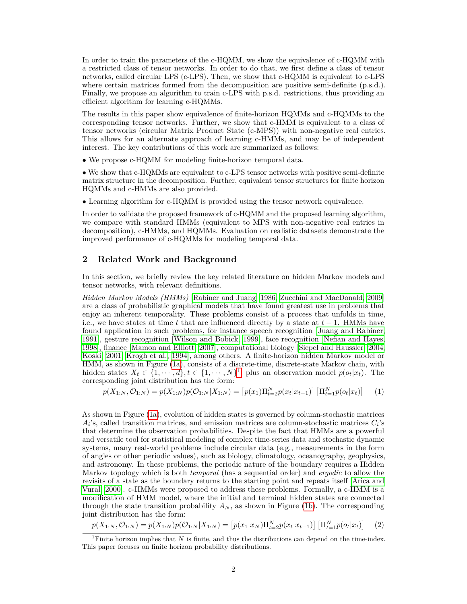In order to train the parameters of the c-HQMM, we show the equivalence of c-HQMM with a restricted class of tensor networks. In order to do that, we first define a class of tensor networks, called circular LPS (c-LPS). Then, we show that c-HQMM is equivalent to c-LPS where certain matrices formed from the decomposition are positive semi-definite (p.s.d.). Finally, we propose an algorithm to train c-LPS with p.s.d. restrictions, thus providing an efficient algorithm for learning c-HQMMs.

The results in this paper show equivalence of finite-horizon HQMMs and c-HQMMs to the corresponding tensor networks. Further, we show that c-HMM is equivalent to a class of tensor networks (circular Matrix Product State (c-MPS)) with non-negative real entries. This allows for an alternate approach of learning c-HMMs, and may be of independent interest. The key contributions of this work are summarized as follows:

• We propose c-HQMM for modeling finite-horizon temporal data.

• We show that c-HQMMs are equivalent to c-LPS tensor networks with positive semi-definite matrix structure in the decomposition. Further, equivalent tensor structures for finite horizon HQMMs and c-HMMs are also provided.

• Learning algorithm for c-HQMM is provided using the tensor network equivalence.

In order to validate the proposed framework of c-HQMM and the proposed learning algorithm, we compare with standard HMMs (equivalent to MPS with non-negative real entries in decomposition), c-HMMs, and HQMMs. Evaluation on realistic datasets demonstrate the improved performance of c-HQMMs for modeling temporal data.

## <span id="page-1-0"></span>**2 Related Work and Background**

In this section, we briefly review the key related literature on hidden Markov models and tensor networks, with relevant definitions.

*Hidden Markov Models (HMMs)* [\[Rabiner and Juang, 1986,](#page-10-0) [Zucchini and MacDonald, 2009\]](#page-11-0) are a class of probabilistic graphical models that have found greatest use in problems that enjoy an inherent temporality. These problems consist of a process that unfolds in time, i.e., we have states at time *t* that are influenced directly by a state at *t* − 1. HMMs have found application in such problems, for instance speech recognition [\[Juang and Rabiner,](#page-10-3) [1991\]](#page-10-3), gesture recognition [\[Wilson and Bobick, 1999\]](#page-11-2), face recognition [\[Nefian and Hayes,](#page-10-4) [1998\]](#page-10-4), finance [\[Mamon and Elliott, 2007\]](#page-10-5), computational biology [\[Siepel and Haussler, 2004,](#page-10-6) [Koski, 2001,](#page-10-7) [Krogh et al., 1994\]](#page-10-8), among others. A finite-horizon hidden Markov model or HMM, as shown in Figure [\(1a\)](#page-2-0), consists of a discrete-time, discrete-state Markov chain, with hidden states  $X_t \in \{1, \dots, d\}$  $X_t \in \{1, \dots, d\}$  $X_t \in \{1, \dots, d\}$ ,  $t \in \{1, \dots, N\}^1$ , plus an observation model  $p(o_t|x_t)$ . The corresponding joint distribution has the form:

$$
p(X_{1:N}, \mathcal{O}_{1:N}) = p(X_{1:N})p(\mathcal{O}_{1:N}|X_{1:N}) = [p(x_1)\Pi_{t=2}^N p(x_t|x_{t-1})] [\Pi_{t=1}^N p(o_t|x_t)] \tag{1}
$$

As shown in Figure [\(1a\)](#page-2-0), evolution of hidden states is governed by column-stochastic matrices  $A_i$ 's, called transition matrices, and emission matrices are column-stochastic matrices  $C_i$ 's that determine the observation probabilities. Despite the fact that HMMs are a powerful and versatile tool for statistical modeling of complex time-series data and stochastic dynamic systems, many real-world problems include circular data (e.g., measurements in the form of angles or other periodic values), such as biology, climatology, oceanography, geophysics, and astronomy. In these problems, the periodic nature of the boundary requires a Hidden Markov topology which is both *temporal* (has a sequential order) and *ergodic* to allow the revisits of a state as the boundary returns to the starting point and repeats itself [\[Arica and](#page-9-2) [Vural, 2000\]](#page-9-2). c-HMMs were proposed to address these problems. Formally, a c-HMM is a modification of HMM model, where the initial and terminal hidden states are connected through the state transition probability  $A_N$ , as shown in Figure [\(1b\)](#page-2-0). The corresponding joint distribution has the form:

<span id="page-1-1"></span>
$$
p(X_{1:N}, \mathcal{O}_{1:N}) = p(X_{1:N})p(\mathcal{O}_{1:N}|X_{1:N}) = \left[p(x_1|x_N)\Pi_{t=2}^N p(x_t|x_{t-1})\right] \left[\Pi_{t=1}^N p(o_t|x_t)\right] \tag{2}
$$

<sup>&</sup>lt;sup>1</sup>Finite horizon implies that *N* is finite, and thus the distributions can depend on the time-index. This paper focuses on finite horizon probability distributions.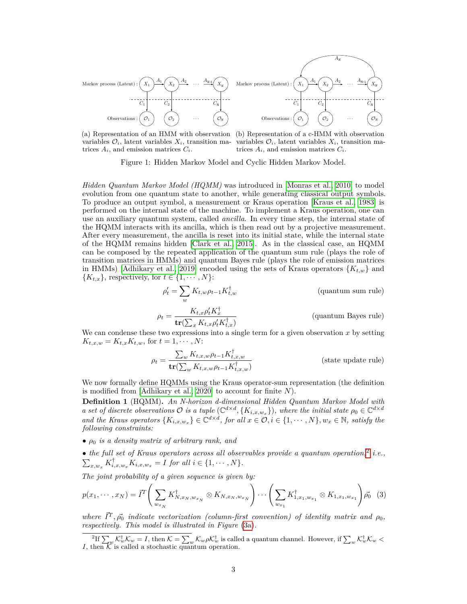<span id="page-2-0"></span>

(a) Representation of an HMM with observation (b) Representation of a c-HMM with observation variables  $\mathcal{O}_i$ , latent variables  $X_i$ , transition ma-variables  $\mathcal{O}_i$ , latent variables  $X_i$ , transition matrices  $A_i$ , and emission matrices  $C_i$ .

trices  $A_i$ , and emission matrices  $C_i$ .

Figure 1: Hidden Markov Model and Cyclic Hidden Markov Model.

*Hidden Quantum Markov Model (HQMM)* was introduced in [\[Monras et al., 2010\]](#page-10-1) to model evolution from one quantum state to another, while generating classical output symbols. To produce an output symbol, a measurement or Kraus operation [\[Kraus et al., 1983\]](#page-10-9) is performed on the internal state of the machine. To implement a Kraus operation, one can use an auxiliary quantum system, called *ancilla*. In every time step, the internal state of the HQMM interacts with its ancilla, which is then read out by a projective measurement. After every measurement, the ancilla is reset into its initial state, while the internal state of the HQMM remains hidden [\[Clark et al., 2015\]](#page-9-0). As in the classical case, an HQMM can be composed by the repeated application of the quantum sum rule (plays the role of transition matrices in HMMs) and quantum Bayes rule (plays the role of emission matrices in HMMs) [\[Adhikary et al., 2019\]](#page-9-7) encoded using the sets of Kraus operators  ${K_{t,w}}$  and  ${K_{t,x}}$ , respectively, for  $t \in \{1, \cdots, N\}$ :

$$
\rho'_t = \sum_w K_{t,w} \rho_{t-1} K_{t,w}^{\dagger}
$$
 (quantum sum rule)  

$$
\rho_t = \frac{K_{t,x} \rho'_t K_x^{\dagger}}{\operatorname{tr}(\sum_x K_{t,x} \rho'_t K_{t,x}^{\dagger})}
$$
 (quantum Bayes rule)

We can condense these two expressions into a single term for a given observation  $x$  by setting  $K_{t,x,w} = K_{t,x} K_{t,w}$ , for  $t = 1, \dots, N$ :

$$
\rho_t = \frac{\sum_w K_{t,x,w} \rho_{t-1} K_{t,x,w}^\dagger}{\mathbf{tr}(\sum_w K_{t,x,w} \rho_{t-1} K_{t,x,w}^\dagger)} \tag{state update rule}
$$

We now formally define HQMMs using the Kraus operator-sum representation (the definition is modified from [\[Adhikary et al., 2020\]](#page-9-6) to account for finite *N*).

**Definition 1** (HQMM)**.** *An N-horizon d-dimensional Hidden Quantum Markov Model with a* set of discrete observations  $\mathcal{O}$  is a tuple  $(\mathbb{C}^{d \times d}, \{K_{i,x,w_x}\})$ , where the initial state  $\rho_0 \in \mathbb{C}^{d \times d}$ *and the Kraus operators*  $\{K_{i,x,w_x}\}\in \mathbb{C}^{d\times d}$ *, for all*  $x\in \mathcal{O}, i\in \{1,\cdots,N\}, w_x\in \mathbb{N}$ *, satisfy the following constraints:*

• *ρ*<sup>0</sup> *is a density matrix of arbitrary rank, and*

• the full set of Kraus operators across all observables provide a quantum operation,<sup>[2](#page-2-1)</sup> i.e.,  $\sum_{x,w_x} K_{i,x,w_x}^{\dagger} K_{i,x,w_x} = I$  *for all*  $i \in \{1, \cdots, N\}$ *.* 

*The joint probability of a given sequence is given by:*

$$
p(x_1, \dots, x_N) = \vec{I}^T \left( \sum_{w_{x_N}} K_{N, x_N, w_{x_N}}^{\dagger} \otimes K_{N, x_N, w_{x_N}} \right) \dots \left( \sum_{w_{x_1}} K_{1, x_1, w_{x_1}}^{\dagger} \otimes K_{1, x_1, w_{x_1}} \right) \vec{\rho_0} \tag{3}
$$

*where*  $\vec{I}^T$ ,  $\vec{\rho}_0$  *indicate vectorization (column-first convention) of identity matrix and*  $\rho_0$ , *respectively. This model is illustrated in Figure* [\(3a\)](#page-5-0)*.*

<span id="page-2-1"></span> ${}^{2}$ If  $\sum_{w} \mathcal{K}_{w}^{\dagger} \mathcal{K}_{w} = I$ , then  $\mathcal{K} = \sum_{w} \mathcal{K}_{w} \rho \mathcal{K}_{w}^{\dagger}$  is called a quantum channel. However, if  $\sum_{w} \mathcal{K}_{w}^{\dagger} \mathcal{K}_{w}$ *I*, then  $\overline{\mathcal{K}}$  is called a stochastic quantum operation.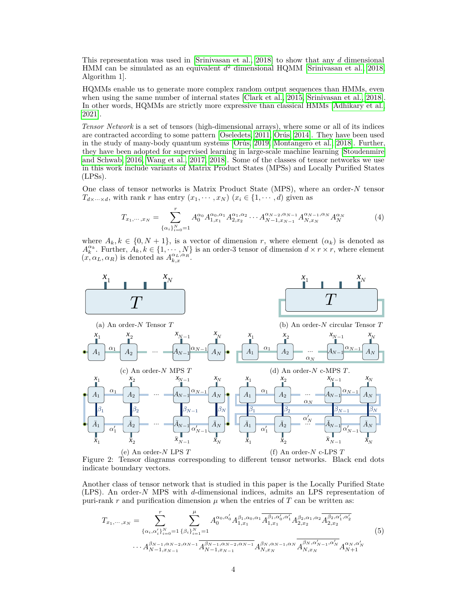This representation was used in [\[Srinivasan et al., 2018\]](#page-10-10) to show that any *d* dimensional HMM can be simulated as an equivalent *d* <sup>2</sup> dimensional HQMM [\[Srinivasan et al., 2018,](#page-10-10) Algorithm 1].

HQMMs enable us to generate more complex random output sequences than HMMs, even when using the same number of internal states [\[Clark et al., 2015,](#page-9-0) [Srinivasan et al., 2018\]](#page-10-10). In other words, HQMMs are strictly more expressive than classical HMMs [\[Adhikary et al.,](#page-9-1) [2021\]](#page-9-1).

*Tensor Network* is a set of tensors (high-dimensional arrays), where some or all of its indices are contracted according to some pattern [\[Oseledets, 2011,](#page-10-11) [Orús, 2014\]](#page-10-12). They have been used in the study of many-body quantum systems [\[Orús, 2019,](#page-10-13) [Montangero et al., 2018\]](#page-10-14). Further, they have been adopted for supervised learning in large-scale machine learning [\[Stoudenmire](#page-10-15) [and Schwab, 2016,](#page-10-15) [Wang et al., 2017,](#page-11-3) [2018\]](#page-11-4). Some of the classes of tensor networks we use in this work include variants of Matrix Product States (MPSs) and Locally Purified States (LPSs).

One class of tensor networks is Matrix Product State (MPS), where an order-*N* tensor  $T_{d \times \cdots \times d}$ , with rank *r* has entry  $(x_1, \cdots, x_N)$   $(x_i \in \{1, \cdots, d\})$  given as

$$
T_{x_1,\dots,x_N} = \sum_{\{\alpha_i\}_{i=0}^N=1}^r A_0^{\alpha_0} A_{1,x_1}^{\alpha_0,\alpha_1} A_{2,x_2}^{\alpha_1,\alpha_2} \dots A_{N-1,x_{N-1}}^{\alpha_{N-2},\alpha_{N-1}} A_{N,x_N}^{\alpha_{N-1},\alpha_N} A_N^{\alpha_N}
$$
(4)

where  $A_k, k \in \{0, N+1\}$ , is a vector of dimension *r*, where element  $(\alpha_k)$  is denoted as  $A_k^{\alpha_k}$ . Further,  $A_k, k \in \{1, \dots, N\}$  is an order-3 tensor of dimension  $d \times r \times r$ , where element  $(x, \alpha_L, \alpha_R)$  is denoted as  $A_{k,x}^{\alpha_L, \alpha_R}$ .

<span id="page-3-0"></span>

Figure 2: Tensor diagrams corresponding to different tensor networks. Black end dots indicate boundary vectors.

Another class of tensor network that is studied in this paper is the Locally Purified State (LPS). An order-*N* MPS with *d*-dimensional indices, admits an LPS representation of puri-rank  $r$  and purification dimension  $\mu$  when the entries of  $T$  can be written as:

$$
T_{x_1,\dots,x_N} = \sum_{\{\alpha_i,\alpha'_i\}_{i=0}^N=1}^r \sum_{\{\beta_i\}_{i=1}^N=1}^{\mu} A_0^{\alpha_0,\alpha'_0} A_{1,x_1}^{\beta_1,\alpha_0,\alpha_1} \overline{A_{1,x_1}^{\beta_1,\alpha'_0,\alpha'_1}} A_{2,x_2}^{\beta_2,\alpha_1,\alpha_2} \overline{A_{2,x_2}^{\beta_2,\alpha'_1,\alpha'_2}} \cdots A_{N-1,x_{N-1}}^{\beta_{N-1},\alpha_{N-2},\alpha_{N-1}} \overline{A_{N-1,x_{N-1}}^{\beta_{N-1},\alpha_{N-2},\alpha_{N-1}}} A_{N,x_N}^{\beta_N,\alpha'_{N-1},\alpha_N} \overline{A_{N,x_N}^{\beta_N,\alpha'_{N-1},\alpha'_N}} A_{N+1}^{\alpha_N,\alpha'_N}
$$
\n
$$
(5)
$$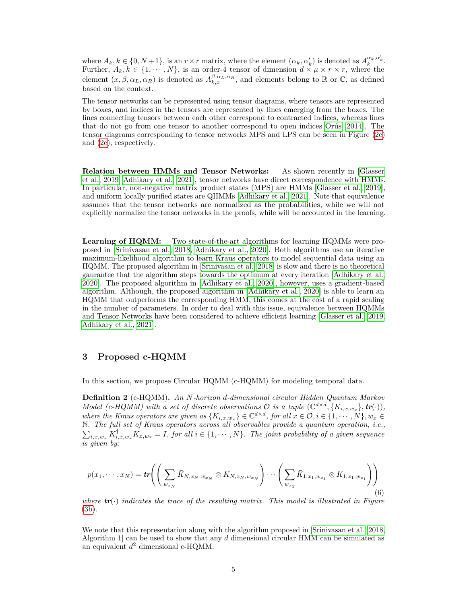where  $A_k, k \in \{0, N+1\}$ , is an  $r \times r$  matrix, where the element  $(\alpha_k, \alpha'_k)$  is denoted as  $A_k^{\alpha_k, \alpha'_k}$ . Further,  $A_k, k \in \{1, \cdots, N\}$ , is an order-4 tensor of dimension  $d \times \mu \times r \times r$ , where the element  $(x, \beta, \alpha_L, \alpha_R)$  is denoted as  $A_{k,x}^{\beta, \alpha_L, \alpha_R}$ , and elements belong to R or C, as defined based on the context.

The tensor networks can be represented using tensor diagrams, where tensors are represented by boxes, and indices in the tensors are represented by lines emerging from the boxes. The lines connecting tensors between each other correspond to contracted indices, whereas lines that do not go from one tensor to another correspond to open indices [Orús](#page-10-12) [\[2014\]](#page-10-12). The tensor diagrams corresponding to tensor networks MPS and LPS can be seen in Figure [\(2c\)](#page-3-0) and [\(2e\)](#page-3-0), respectively.

**Relation between HMMs and Tensor Networks:** As shown recently in [\[Glasser](#page-9-8) [et al., 2019,](#page-9-8) [Adhikary et al., 2021\]](#page-9-1), tensor networks have direct correspondence with HMMs. In particular, non-negative matrix product states (MPS) are HMMs [\[Glasser et al., 2019\]](#page-9-8), and uniform locally purified states are QHMMs [\[Adhikary et al., 2021\]](#page-9-1). Note that equivalence assumes that the tensor networks are normalized as the probabilities, while we will not explicitly normalize the tensor networks in the proofs, while will be accounted in the learning.

**Learning of HQMM:** Two state-of-the-art algorithms for learning HQMMs were proposed in [\[Srinivasan et al., 2018,](#page-10-10) [Adhikary et al., 2020\]](#page-9-6). Both algorithms use an iterative maximum-likelihood algorithm to learn Kraus operators to model sequential data using an HQMM. The proposed algorithm in [\[Srinivasan et al., 2018\]](#page-10-10) is slow and there is no theoretical gaurantee that the algorithm steps towards the optimum at every iteration [\[Adhikary et al.,](#page-9-6) [2020\]](#page-9-6). The proposed algorithm in [\[Adhikary et al., 2020\]](#page-9-6), however, uses a gradient-based algorithm. Although, the proposed algorithm in [\[Adhikary et al., 2020\]](#page-9-6) is able to learn an HQMM that outperforms the corresponding HMM, this comes at the cost of a rapid scaling in the number of parameters. In order to deal with this issue, equivalence between HQMMs and Tensor Networks have been considered to achieve efficient learning [\[Glasser et al., 2019,](#page-9-8) [Adhikary et al., 2021\]](#page-9-1).

## **3 Proposed c-HQMM**

In this section, we propose Circular HQMM (c-HQMM) for modeling temporal data.

**Definition 2** (c-HQMM)**.** *An N-horizon d-dimensional circular Hidden Quantum Markov Model* (*c*-*HQMM*) with a set of discrete observations  $\mathcal{O}$  is a tuple  $(\mathbb{C}^{d \times d}, \{K_{i,x,w_x}\}, tr(\cdot)),$ *where the Kraus operators are given as*  $\{K_{i,x,w_x}\}\in \mathbb{C}^{d\times d}$ , *for all*  $x \in \mathcal{O}, i \in \{1, \cdots, N\}, w_x \in \mathcal{O}$  $\sum_{i,x,w_x} K_{i,x,w_x}^{\dagger} K_{x,w_x} = I$ , for all  $i \in \{1, \cdots, N\}$ . The joint probability of a given sequence N*. The full set of Kraus operators across all observables provide a quantum operation, i.e., is given by:*

$$
p(x_1, \dots, x_N) = \text{tr}\left(\left(\sum_{w_{x_N}} \bar{K}_{N, x_N, w_{x_N}} \otimes K_{N, x_N, w_{x_N}}\right) \dots \left(\sum_{w_{x_1}} \bar{K}_{1, x_1, w_{x_1}} \otimes K_{1, x_1, w_{x_1}}\right)\right) \tag{6}
$$

*where*  $tr(\cdot)$  *indicates the trace of the resulting matrix. This model is illustrated in Figure* [\(3b\)](#page-5-0)*.*

We note that this representation along with the algorithm proposed in [\[Srinivasan et al., 2018,](#page-10-10) Algorithm 1] can be used to show that any *d* dimensional circular HMM can be simulated as an equivalent *d* <sup>2</sup> dimensional c-HQMM.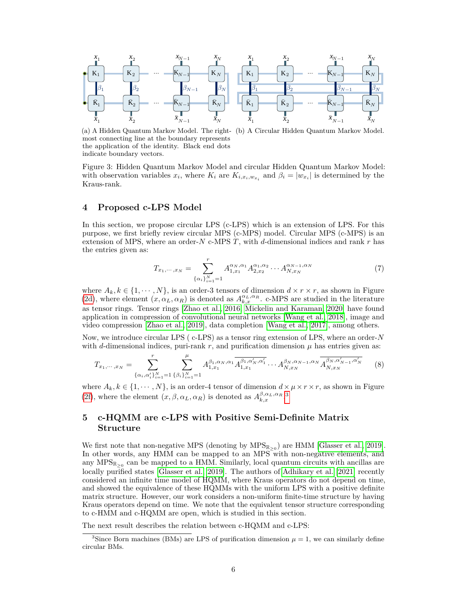<span id="page-5-0"></span>

(a) A Hidden Quantum Markov Model. The right-(b) A Circular Hidden Quantum Markov Model. most connecting line at the boundary represents the application of the identity. Black end dots indicate boundary vectors.

Figure 3: Hidden Quantum Markov Model and circular Hidden Quantum Markov Model: with observation variables  $x_i$ , where  $K_i$  are  $K_{i,x_i,w_{x_i}}$  and  $\beta_i = |w_{x_i}|$  is determined by the Kraus-rank.

## <span id="page-5-2"></span>**4 Proposed c-LPS Model**

In this section, we propose circular LPS (c-LPS) which is an extension of LPS. For this purpose, we first briefly review circular MPS (c-MPS) model. Circular MPS (c-MPS) is an extension of MPS, where an order-*N* c-MPS *T*, with *d*-dimensional indices and rank *r* has the entries given as:

$$
T_{x_1,\dots,x_N} = \sum_{\{\alpha_i\}_{i=1}^N=1}^r A_{1,x_1}^{\alpha_N,\alpha_1} A_{2,x_2}^{\alpha_1,\alpha_2} \dots A_{N,x_N}^{\alpha_{N-1},\alpha_N}
$$
(7)

where  $A_k, k \in \{1, \dots, N\}$ , is an order-3 tensors of dimension  $d \times r \times r$ , as shown in Figure [\(2d\)](#page-3-0), where element  $(x, \alpha_L, \alpha_R)$  is denoted as  $A_{k,x}^{\alpha_L, \alpha_R}$ . c-MPS are studied in the literature as tensor rings. Tensor rings [\[Zhao et al., 2016,](#page-11-5) [Mickelin and Karaman, 2020\]](#page-10-16) have found application in compression of convolutional neural networks [\[Wang et al., 2018\]](#page-11-4), image and video compression [\[Zhao et al., 2019\]](#page-11-6), data completion [\[Wang et al., 2017\]](#page-11-3), among others.

Now, we introduce circular LPS ( c-LPS) as a tensor ring extension of LPS, where an order-*N* with *d*-dimensional indices, puri-rank  $r$ , and purification dimension  $\mu$  has entries given as:

$$
T_{x_1,\dots,x_N} = \sum_{\{\alpha_i,\alpha'_i\}_{i=1}^N=1}^r \sum_{\{\beta_i\}_{i=1}^N=1}^\mu A_{1,x_1}^{\beta_1,\alpha_N,\alpha_1} \overline{A_{1,x_1}^{\beta_1,\alpha'_N,\alpha'_1}} \dots A_{N,x_N}^{\beta_N,\alpha_{N-1},\alpha_N} \overline{A_{N,x_N}^{\beta_N,\alpha'_{N-1},\alpha'_N}} \tag{8}
$$

where  $A_k, k \in \{1, \dots, N\}$ , is an order-4 tensor of dimension  $d \times \mu \times r \times r$ , as shown in Figure [\(2f\)](#page-3-0), where the element  $(x, \beta, \alpha_L, \alpha_R)$  is denoted as  $A_{k,x}^{\beta, \alpha_L, \alpha_R}$ .

# **5 c-HQMM are c-LPS with Positive Semi-Definite Matrix Structure**

We first note that non-negative MPS (denoting by  $MPS_{\mathbb{R}_{>0}}$ ) are HMM [\[Glasser et al., 2019\]](#page-9-8). In other words, any HMM can be mapped to an MPS with non-negative elements, and any  $\text{MPS}_{\mathbb{R}_{\geq 0}}$  can be mapped to a HMM. Similarly, local quantum circuits with ancillas are locally purified states [\[Glasser et al., 2019\]](#page-9-8). The authors of [Adhikary et al.](#page-9-1) [\[2021\]](#page-9-1) recently considered an infinite time model of HQMM, where Kraus operators do not depend on time, and showed the equivalence of these HQMMs with the uniform LPS with a positive definite matrix structure. However, our work considers a non-uniform finite-time structure by having Kraus operators depend on time. We note that the equivalent tensor structure corresponding to c-HMM and c-HQMM are open, which is studied in this section.

The next result describes the relation between c-HQMM and c-LPS:

<span id="page-5-1"></span><sup>&</sup>lt;sup>3</sup>Since Born machines (BMs) are LPS of purification dimension  $\mu = 1$ , we can similarly define circular BMs.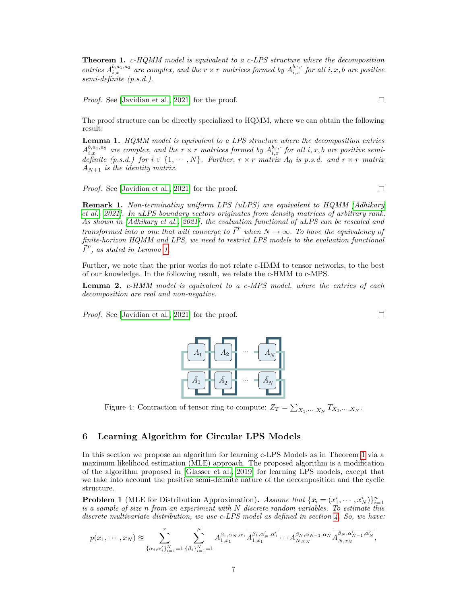<span id="page-6-1"></span>**Theorem 1.** *c-HQMM model is equivalent to a c-LPS structure where the decomposition entries*  $A_{i,x}^{b,a_1,a_2}$  *are complex, and the*  $r \times r$  *matrices formed by*  $A_{i,x}^{b,\cdot,\cdot}$  *for all*  $i, x, b$  *are positive semi-definite (p.s.d.).*

*Proof.* See [\[Javidian et al., 2021\]](#page-10-17) for the proof.

The proof structure can be directly specialized to HQMM, where we can obtain the following result:

<span id="page-6-0"></span>**Lemma 1.** *HQMM model is equivalent to a LPS structure where the decomposition entries*  $A_{i,x}^{b,a_1,a_2}$  are complex, and the  $r \times r$  matrices formed by  $A_{i,x}^{b,\cdot,\cdot}$  for all  $i, x, b$  are positive semi*definite* (p.s.d.) for  $i \in \{1, \dots, N\}$ . Further,  $r \times r$  matrix  $A_0$  is p.s.d. and  $r \times r$  matrix *AN*+1 *is the identity matrix.*

*Proof.* See [\[Javidian et al., 2021\]](#page-10-17) for the proof.

**Remark 1.** *Non-terminating uniform LPS (uLPS) are equivalent to HQMM [\[Adhikary](#page-9-1) [et al., 2021\]](#page-9-1). In uLPS boundary vectors originates from density matrices of arbitrary rank. As shown in [\[Adhikary et al., 2021\]](#page-9-1), the evaluation functional of uLPS can be rescaled and transformed into a one that will converge to*  $\vec{I}^T$  *when*  $N \to \infty$ *. To have the equivalency of finite-horizon HQMM and LPS, we need to restrict LPS models to the evaluation functional*  $\vec{I}^T$ , as stated in Lemma [1.](#page-6-0)

Further, we note that the prior works do not relate c-HMM to tensor networks, to the best of our knowledge. In the following result, we relate the c-HMM to c-MPS.

**Lemma 2.** *c-HMM model is equivalent to a c-MPS model, where the entries of each decomposition are real and non-negative.*

<span id="page-6-2"></span>*Proof.* See [\[Javidian et al., 2021\]](#page-10-17) for the proof.

Figure 4: Contraction of tensor ring to compute:  $Z_T = \sum_{X_1, \dots, X_N} T_{X_1, \dots, X_N}$ .

## **6 Learning Algorithm for Circular LPS Models**

In this section we propose an algorithm for learning c-LPS Models as in Theorem [1](#page-6-1) via a maximum likelihood estimation (MLE) approach. The proposed algorithm is a modification of the algorithm proposed in [\[Glasser et al., 2019\]](#page-9-8) for learning LPS models, except that we take into account the positive semi-definite nature of the decomposition and the cyclic structure.

**Problem 1** (MLE for Distribution Approximation). *Assume that*  $\{\boldsymbol{x}_i = (x_1^i, \dots, x_N^i)\}_{i=1}^n$ *is a sample of size n from an experiment with N discrete random variables. To estimate this discrete multivariate distribution, we use c-LPS model as defined in section [4.](#page-5-2) So, we have:*

$$
p(x_1, \dots, x_N) \approx \sum_{\{\alpha_i, \alpha'_i\}_{i=1}^N = 1}^r \sum_{\{\beta_i\}_{i=1}^N = 1}^\mu A_{1, x_1}^{\beta_1, \alpha_N, \alpha_1} \overline{A_{1, x_1}^{\beta_1, \alpha'_N, \alpha'_1}} \dots A_{N, x_N}^{\beta_N, \alpha_{N-1}, \alpha_N} \overline{A_{N, x_N}^{\beta_N, \alpha'_{N-1}, \alpha'_N}},
$$



 $\Box$ 

 $\Box$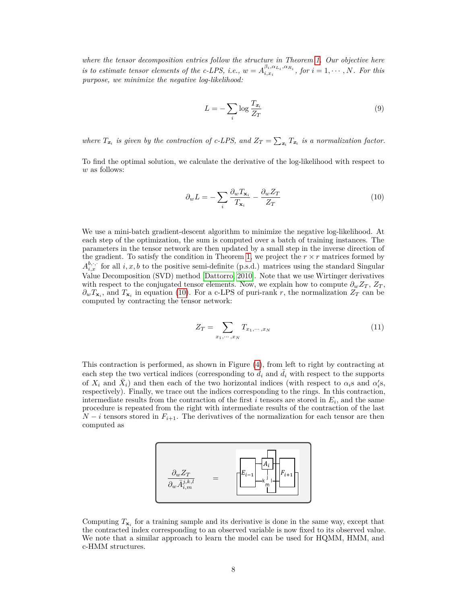*where the tensor decomposition entries follow the structure in Theorem [1.](#page-6-1) Our objective here is to estimate tensor elements of the c-LPS, i.e.,*  $w = A^{\beta_i, \alpha_{L_i}, \alpha_{R_i}}_{i, x_i}$ , for  $i = 1, \dots, N$ . For this *purpose, we minimize the negative log-likelihood:*

$$
L = -\sum_{i} \log \frac{T_{x_i}}{Z_T} \tag{9}
$$

*where*  $T_{x_i}$  *is given by the contraction of c-LPS, and*  $Z_T = \sum_{x_i} T_{x_i}$  *is a normalization factor.* 

<span id="page-7-0"></span>To find the optimal solution, we calculate the derivative of the log-likelihood with respect to *w* as follows:

$$
\partial_w L = -\sum_i \frac{\partial_w T_{\mathbf{x}_i}}{T_{\mathbf{x}_i}} - \frac{\partial_w Z_T}{Z_T} \tag{10}
$$

We use a mini-batch gradient-descent algorithm to minimize the negative log-likelihood. At each step of the optimization, the sum is computed over a batch of training instances. The parameters in the tensor network are then updated by a small step in the inverse direction of the gradient. To satisfy the condition in Theorem [1,](#page-6-1) we project the  $r \times r$  matrices formed by  $A_{i,x}^{b,\cdot,\cdot}$  for all  $i, x, b$  to the positive semi-definite (p.s.d.) matrices using the standard Singular Value Decomposition (SVD) method [\[Dattorro, 2010\]](#page-9-9). Note that we use Wirtinger derivatives with respect to the conjugated tensor elements. Now, we explain how to compute  $\partial_w Z_T$ ,  $Z_T$ ,  $\partial_w T_{\mathbf{x}_i}$ , and  $T_{\mathbf{x}_i}$  in equation [\(10\)](#page-7-0). For a c-LPS of puri-rank *r*, the normalization  $Z_T$  can be computed by contracting the tensor network:

$$
Z_T = \sum_{x_1, \cdots, x_N} T_{x_1, \cdots, x_N} \tag{11}
$$

This contraction is performed, as shown in Figure [\(4\)](#page-6-2), from left to right by contracting at each step the two vertical indices (corresponding to  $d_i$  and  $d_i$  with respect to the supports of  $X_i$  and  $\bar{X}_i$ ) and then each of the two horizontal indices (with respect to  $\alpha_i$ s and  $\alpha_i$ 's, respectively). Finally, we trace out the indices corresponding to the rings. In this contraction, intermediate results from the contraction of the first  $i$  tensors are stored in  $E_i$ , and the same procedure is repeated from the right with intermediate results of the contraction of the last  $N - i$  tensors stored in  $F_{i+1}$ . The derivatives of the normalization for each tensor are then computed as



Computing  $T_{\mathbf{x}_i}$  for a training sample and its derivative is done in the same way, except that the contracted index corresponding to an observed variable is now fixed to its observed value. We note that a similar approach to learn the model can be used for HQMM, HMM, and c-HMM structures.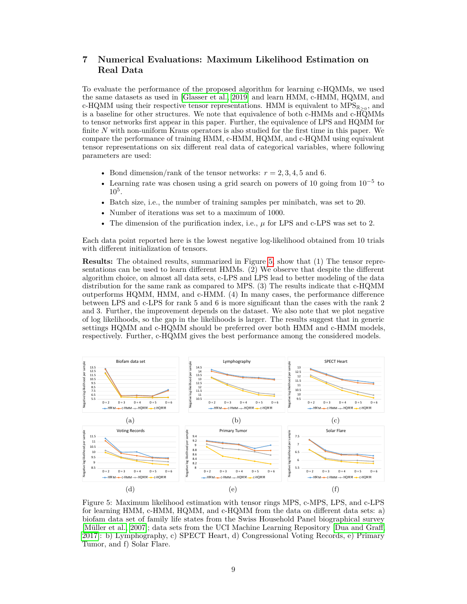# **7 Numerical Evaluations: Maximum Likelihood Estimation on Real Data**

To evaluate the performance of the proposed algorithm for learning c-HQMMs, we used the same datasets as used in [\[Glasser et al., 2019\]](#page-9-8) and learn HMM, c-HMM, HQMM, and c-HQMM using their respective tensor representations. HMM is equivalent to  $MPS_{\mathbb{R}_{\geq 0}}$ , and is a baseline for other structures. We note that equivalence of both c-HMMs and c-HQMMs to tensor networks first appear in this paper. Further, the equivalence of LPS and HQMM for finite N with non-uniform Kraus operators is also studied for the first time in this paper. We compare the performance of training HMM, c-HMM, HQMM, and c-HQMM using equivalent tensor representations on six different real data of categorical variables, where following parameters are used:

- Bond dimension/rank of the tensor networks:  $r = 2, 3, 4, 5$  and 6.
- Learning rate was chosen using a grid search on powers of 10 going from  $10^{-5}$  to  $10^{5}$ .
- Batch size, i.e., the number of training samples per minibatch, was set to 20.
- Number of iterations was set to a maximum of 1000.
- The dimension of the purification index, i.e.,  $\mu$  for LPS and c-LPS was set to 2.

Each data point reported here is the lowest negative log-likelihood obtained from 10 trials with different initialization of tensors.

**Results:** The obtained results, summarized in Figure [5,](#page-8-0) show that (1) The tensor representations can be used to learn different HMMs. (2) We observe that despite the different algorithm choice, on almost all data sets, c-LPS and LPS lead to better modeling of the data distribution for the same rank as compared to MPS. (3) The results indicate that c-HQMM outperforms HQMM, HMM, and c-HMM. (4) In many cases, the performance difference between LPS and c-LPS for rank 5 and 6 is more significant than the cases with the rank 2 and 3. Further, the improvement depends on the dataset. We also note that we plot negative of log likelihoods, so the gap in the likelihoods is larger. The results suggest that in generic settings HQMM and c-HQMM should be preferred over both HMM and c-HMM models, respectively. Further, c-HQMM gives the best performance among the considered models.

<span id="page-8-0"></span>

Figure 5: Maximum likelihood estimation with tensor rings MPS, c-MPS, LPS, and c-LPS for learning HMM, c-HMM, HQMM, and c-HQMM from the data on different data sets: a) biofam data set of family life states from the Swiss Household Panel biographical survey [\[Müller et al., 2007\]](#page-10-18); data sets from the UCI Machine Learning Repository [\[Dua and Graff,](#page-9-10) [2017\]](#page-9-10): b) Lymphography, c) SPECT Heart, d) Congressional Voting Records, e) Primary Tumor, and f) Solar Flare.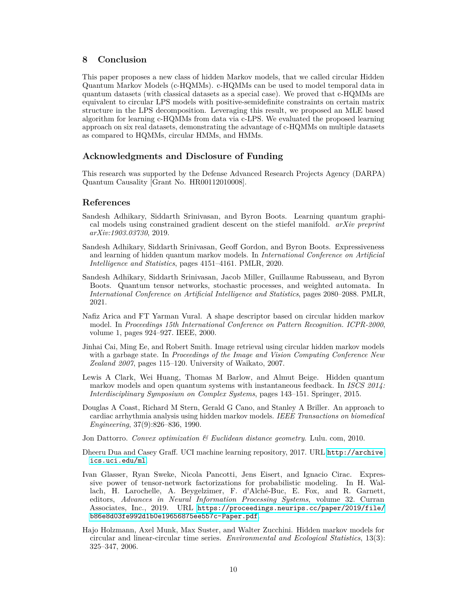## **8 Conclusion**

This paper proposes a new class of hidden Markov models, that we called circular Hidden Quantum Markov Models (c-HQMMs). c-HQMMs can be used to model temporal data in quantum datasets (with classical datasets as a special case). We proved that c-HQMMs are equivalent to circular LPS models with positive-semidefinite constraints on certain matrix structure in the LPS decomposition. Leveraging this result, we proposed an MLE based algorithm for learning c-HQMMs from data via c-LPS. We evaluated the proposed learning approach on six real datasets, demonstrating the advantage of c-HQMMs on multiple datasets as compared to HQMMs, circular HMMs, and HMMs.

## **Acknowledgments and Disclosure of Funding**

This research was supported by the Defense Advanced Research Projects Agency (DARPA) Quantum Causality [Grant No. HR00112010008].

## **References**

- <span id="page-9-7"></span>Sandesh Adhikary, Siddarth Srinivasan, and Byron Boots. Learning quantum graphical models using constrained gradient descent on the stiefel manifold. *arXiv preprint arXiv:1903.03730*, 2019.
- <span id="page-9-6"></span>Sandesh Adhikary, Siddarth Srinivasan, Geoff Gordon, and Byron Boots. Expressiveness and learning of hidden quantum markov models. In *International Conference on Artificial Intelligence and Statistics*, pages 4151–4161. PMLR, 2020.
- <span id="page-9-1"></span>Sandesh Adhikary, Siddarth Srinivasan, Jacob Miller, Guillaume Rabusseau, and Byron Boots. Quantum tensor networks, stochastic processes, and weighted automata. In *International Conference on Artificial Intelligence and Statistics*, pages 2080–2088. PMLR, 2021.
- <span id="page-9-2"></span>Nafiz Arica and FT Yarman Vural. A shape descriptor based on circular hidden markov model. In *Proceedings 15th International Conference on Pattern Recognition. ICPR-2000*, volume 1, pages 924–927. IEEE, 2000.
- <span id="page-9-4"></span>Jinhai Cai, Ming Ee, and Robert Smith. Image retrieval using circular hidden markov models with a garbage state. In *Proceedings of the Image and Vision Computing Conference New Zealand 2007*, pages 115–120. University of Waikato, 2007.
- <span id="page-9-0"></span>Lewis A Clark, Wei Huang, Thomas M Barlow, and Almut Beige. Hidden quantum markov models and open quantum systems with instantaneous feedback. In *ISCS 2014: Interdisciplinary Symposium on Complex Systems*, pages 143–151. Springer, 2015.
- <span id="page-9-5"></span>Douglas A Coast, Richard M Stern, Gerald G Cano, and Stanley A Briller. An approach to cardiac arrhythmia analysis using hidden markov models. *IEEE Transactions on biomedical Engineering*, 37(9):826–836, 1990.
- <span id="page-9-9"></span>Jon Dattorro. *Convex optimization & Euclidean distance geometry*. Lulu. com, 2010.
- <span id="page-9-10"></span>Dheeru Dua and Casey Graff. UCI machine learning repository, 2017. URL [http://archive.](http://archive.ics.uci.edu/ml) [ics.uci.edu/ml](http://archive.ics.uci.edu/ml).
- <span id="page-9-8"></span>Ivan Glasser, Ryan Sweke, Nicola Pancotti, Jens Eisert, and Ignacio Cirac. Expressive power of tensor-network factorizations for probabilistic modeling. In H. Wallach, H. Larochelle, A. Beygelzimer, F. d'Alché-Buc, E. Fox, and R. Garnett, editors, *Advances in Neural Information Processing Systems*, volume 32. Curran Associates, Inc., 2019. URL [https://proceedings.neurips.cc/paper/2019/file/](https://proceedings.neurips.cc/paper/2019/file/b86e8d03fe992d1b0e19656875ee557c-Paper.pdf) [b86e8d03fe992d1b0e19656875ee557c-Paper.pdf](https://proceedings.neurips.cc/paper/2019/file/b86e8d03fe992d1b0e19656875ee557c-Paper.pdf).
- <span id="page-9-3"></span>Hajo Holzmann, Axel Munk, Max Suster, and Walter Zucchini. Hidden markov models for circular and linear-circular time series. *Environmental and Ecological Statistics*, 13(3): 325–347, 2006.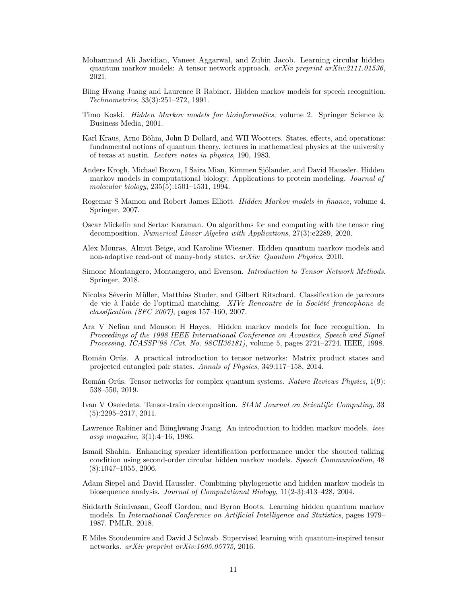- <span id="page-10-17"></span>Mohammad Ali Javidian, Vaneet Aggarwal, and Zubin Jacob. Learning circular hidden quantum markov models: A tensor network approach. *arXiv preprint arXiv:2111.01536*, 2021.
- <span id="page-10-3"></span>Biing Hwang Juang and Laurence R Rabiner. Hidden markov models for speech recognition. *Technometrics*, 33(3):251–272, 1991.
- <span id="page-10-7"></span>Timo Koski. *Hidden Markov models for bioinformatics*, volume 2. Springer Science & Business Media, 2001.
- <span id="page-10-9"></span>Karl Kraus, Arno Böhm, John D Dollard, and WH Wootters. States, effects, and operations: fundamental notions of quantum theory. lectures in mathematical physics at the university of texas at austin. *Lecture notes in physics*, 190, 1983.
- <span id="page-10-8"></span>Anders Krogh, Michael Brown, I Saira Mian, Kimmen Sjölander, and David Haussler. Hidden markov models in computational biology: Applications to protein modeling. *Journal of molecular biology*, 235(5):1501–1531, 1994.
- <span id="page-10-5"></span>Rogemar S Mamon and Robert James Elliott. *Hidden Markov models in finance*, volume 4. Springer, 2007.
- <span id="page-10-16"></span>Oscar Mickelin and Sertac Karaman. On algorithms for and computing with the tensor ring decomposition. *Numerical Linear Algebra with Applications*, 27(3):e2289, 2020.
- <span id="page-10-1"></span>Alex Monras, Almut Beige, and Karoline Wiesner. Hidden quantum markov models and non-adaptive read-out of many-body states. *arXiv: Quantum Physics*, 2010.
- <span id="page-10-14"></span>Simone Montangero, Montangero, and Evenson. *Introduction to Tensor Network Methods*. Springer, 2018.
- <span id="page-10-18"></span>Nicolas Séverin Müller, Matthias Studer, and Gilbert Ritschard. Classification de parcours de vie à l'aide de l'optimal matching. *XIVe Rencontre de la Société francophone de classification (SFC 2007)*, pages 157–160, 2007.
- <span id="page-10-4"></span>Ara V Nefian and Monson H Hayes. Hidden markov models for face recognition. In *Proceedings of the 1998 IEEE International Conference on Acoustics, Speech and Signal Processing, ICASSP'98 (Cat. No. 98CH36181)*, volume 5, pages 2721–2724. IEEE, 1998.
- <span id="page-10-12"></span>Román Orús. A practical introduction to tensor networks: Matrix product states and projected entangled pair states. *Annals of Physics*, 349:117–158, 2014.
- <span id="page-10-13"></span>Román Orús. Tensor networks for complex quantum systems. *Nature Reviews Physics*, 1(9): 538–550, 2019.
- <span id="page-10-11"></span>Ivan V Oseledets. Tensor-train decomposition. *SIAM Journal on Scientific Computing*, 33 (5):2295–2317, 2011.
- <span id="page-10-0"></span>Lawrence Rabiner and Biinghwang Juang. An introduction to hidden markov models. *ieee assp magazine*, 3(1):4–16, 1986.
- <span id="page-10-2"></span>Ismail Shahin. Enhancing speaker identification performance under the shouted talking condition using second-order circular hidden markov models. *Speech Communication*, 48  $(8):1047-1055, 2006.$
- <span id="page-10-6"></span>Adam Siepel and David Haussler. Combining phylogenetic and hidden markov models in biosequence analysis. *Journal of Computational Biology*, 11(2-3):413–428, 2004.
- <span id="page-10-10"></span>Siddarth Srinivasan, Geoff Gordon, and Byron Boots. Learning hidden quantum markov models. In *International Conference on Artificial Intelligence and Statistics*, pages 1979– 1987. PMLR, 2018.
- <span id="page-10-15"></span>E Miles Stoudenmire and David J Schwab. Supervised learning with quantum-inspired tensor networks. *arXiv preprint arXiv:1605.05775*, 2016.